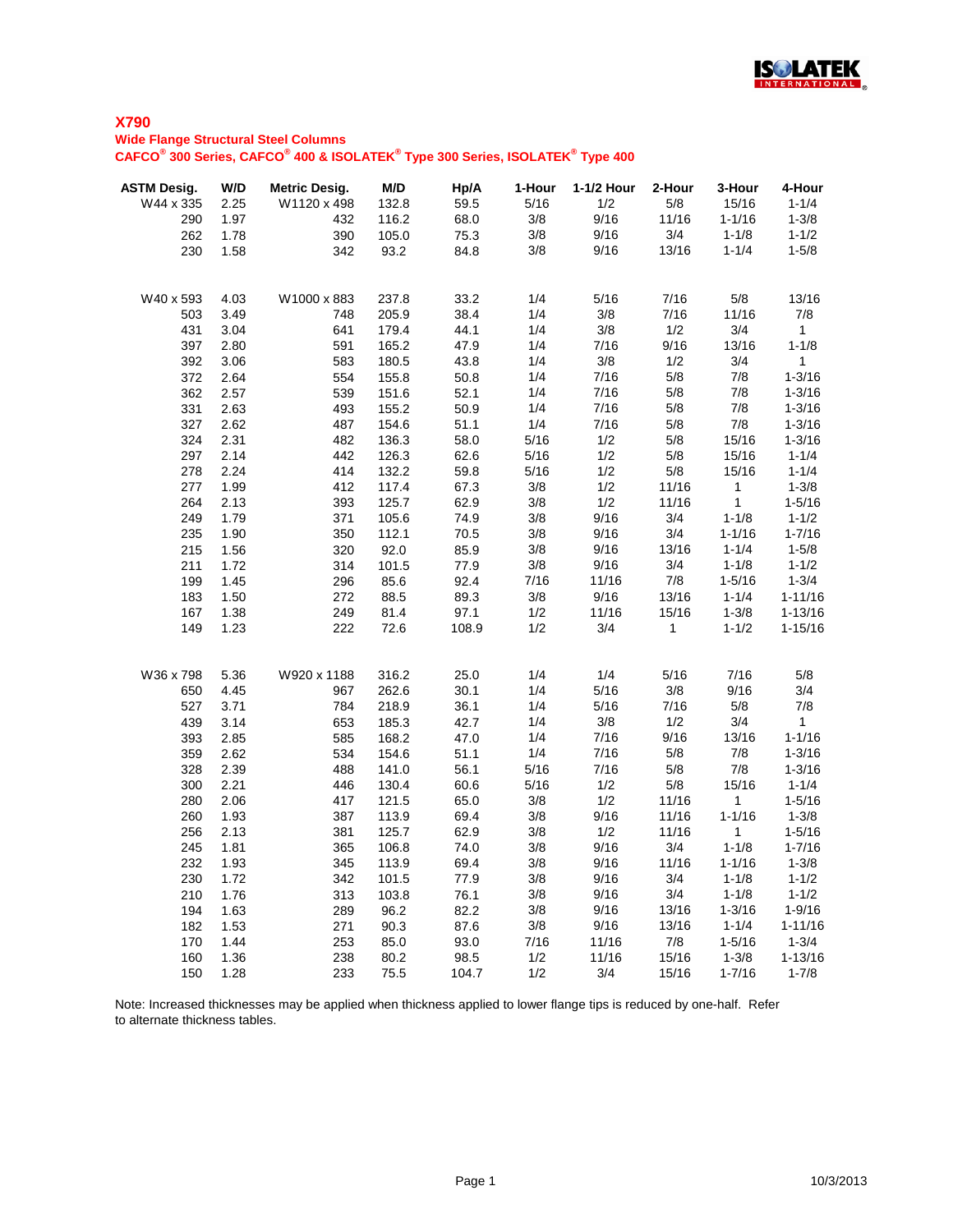

#### **Wide Flange Structural Steel Columns**

**CAFCO® 300 Series, CAFCO® 400 & ISOLATEK® Type 300 Series, ISOLATEK® Type 400**

| <b>ASTM Desig.</b> | W/D          | <b>Metric Desig.</b> | M/D            | Hp/A         | 1-Hour      | 1-1/2 Hour  | 2-Hour<br>5/8 | 3-Hour              | 4-Hour<br>$1 - 1/4$ |
|--------------------|--------------|----------------------|----------------|--------------|-------------|-------------|---------------|---------------------|---------------------|
| W44 x 335          | 2.25<br>1.97 | W1120 x 498<br>432   | 132.8<br>116.2 | 59.5<br>68.0 | 5/16<br>3/8 | 1/2<br>9/16 | 11/16         | 15/16<br>$1 - 1/16$ | $1 - 3/8$           |
| 290<br>262         | 1.78         | 390                  | 105.0          | 75.3         | 3/8         | 9/16        | 3/4           | $1 - 1/8$           | $1 - 1/2$           |
| 230                | 1.58         | 342                  | 93.2           | 84.8         | 3/8         | 9/16        | 13/16         | $1 - 1/4$           | $1 - 5/8$           |
|                    |              |                      |                |              |             |             |               |                     |                     |
| W40 x 593          | 4.03         | W1000 x 883          | 237.8          | 33.2         | 1/4         | 5/16        | 7/16          | 5/8                 | 13/16               |
| 503                | 3.49         | 748                  | 205.9          | 38.4         | 1/4         | 3/8         | 7/16          | 11/16               | 7/8                 |
| 431                | 3.04         | 641                  | 179.4          | 44.1         | 1/4         | 3/8         | 1/2           | 3/4                 | $\mathbf{1}$        |
| 397                | 2.80         | 591                  | 165.2          | 47.9         | 1/4         | 7/16        | 9/16          | 13/16               | $1 - 1/8$           |
| 392                | 3.06         | 583                  | 180.5          | 43.8         | 1/4         | 3/8         | 1/2           | 3/4                 | 1                   |
| 372                | 2.64         | 554                  | 155.8          | 50.8         | 1/4         | 7/16        | 5/8           | 7/8                 | $1 - 3/16$          |
| 362                | 2.57         | 539                  | 151.6          | 52.1         | 1/4         | 7/16        | 5/8           | 7/8                 | $1 - 3/16$          |
| 331                | 2.63         | 493                  | 155.2          | 50.9         | 1/4         | 7/16        | $5/8$         | 7/8                 | $1 - 3/16$          |
| 327                | 2.62         | 487                  | 154.6          | 51.1         | 1/4         | 7/16        | $5/8$         | 7/8                 | $1 - 3/16$          |
| 324                | 2.31         | 482                  | 136.3          | 58.0         | 5/16        | 1/2         | $5/8$         | 15/16               | $1 - 3/16$          |
| 297                | 2.14         | 442                  | 126.3          | 62.6         | 5/16        | 1/2         | 5/8           | 15/16               | $1 - 1/4$           |
| 278                | 2.24         | 414                  | 132.2          | 59.8         | 5/16        | 1/2         | $5/8$         | 15/16               | $1 - 1/4$           |
| 277                | 1.99         | 412                  | 117.4          | 67.3         | 3/8         | 1/2         | 11/16         | $\mathbf{1}$        | $1 - 3/8$           |
| 264                | 2.13         | 393                  | 125.7          | 62.9         | 3/8         | 1/2         | 11/16         | $\mathbf{1}$        | $1 - 5/16$          |
| 249                | 1.79         | 371                  | 105.6          | 74.9         | 3/8         | 9/16        | 3/4           | $1 - 1/8$           | $1 - 1/2$           |
| 235                | 1.90         | 350                  | 112.1          | 70.5         | 3/8         | 9/16        | 3/4           | $1 - 1/16$          | $1 - 7/16$          |
| 215                | 1.56         | 320                  | 92.0           | 85.9         | 3/8         | 9/16        | 13/16         | $1 - 1/4$           | $1 - 5/8$           |
| 211                | 1.72         | 314                  | 101.5          | 77.9         | 3/8         | 9/16        | 3/4           | $1 - 1/8$           | $1 - 1/2$           |
| 199                | 1.45         | 296                  | 85.6           | 92.4         | 7/16        | 11/16       | 7/8           | $1 - 5/16$          | $1 - 3/4$           |
| 183                | 1.50         | 272                  | 88.5           | 89.3         | 3/8         | 9/16        | 13/16         | $1 - 1/4$           | $1 - 11/16$         |
| 167                | 1.38         | 249                  | 81.4           | 97.1         | 1/2         | 11/16       | 15/16         | $1 - 3/8$           | $1 - 13/16$         |
| 149                | 1.23         | 222                  | 72.6           | 108.9        | 1/2         | 3/4         | $\mathbf{1}$  | $1 - 1/2$           | $1 - 15/16$         |
| W36 x 798          | 5.36         | W920 x 1188          | 316.2          | 25.0         | 1/4         | 1/4         | 5/16          | 7/16                | 5/8                 |
| 650                | 4.45         | 967                  | 262.6          | 30.1         | 1/4         | 5/16        | 3/8           | 9/16                | 3/4                 |
| 527                | 3.71         | 784                  | 218.9          | 36.1         | 1/4         | 5/16        | 7/16          | 5/8                 | 7/8                 |
| 439                | 3.14         | 653                  | 185.3          | 42.7         | 1/4         | 3/8         | 1/2           | 3/4                 | $\mathbf{1}$        |
| 393                | 2.85         | 585                  | 168.2          | 47.0         | 1/4         | 7/16        | 9/16          | 13/16               | $1 - 1/16$          |
| 359                | 2.62         | 534                  | 154.6          | 51.1         | 1/4         | 7/16        | 5/8           | 7/8                 | $1 - 3/16$          |
| 328                | 2.39         | 488                  | 141.0          | 56.1         | 5/16        | 7/16        | 5/8           | 7/8                 | $1 - 3/16$          |
| 300                | 2.21         | 446                  | 130.4          | 60.6         | 5/16        | 1/2         | 5/8           | 15/16               | $1 - 1/4$           |
| 280                | 2.06         | 417                  | 121.5          | 65.0         | 3/8         | 1/2         | 11/16         | $\overline{1}$      | $1 - 5/16$          |
| 260                | 1.93         | 387                  | 113.9          | 69.4         | 3/8         | 9/16        | 11/16         | $1 - 1/16$          | $1 - 3/8$           |
| 256                | 2.13         | 381                  | 125.7          | 62.9         | 3/8         | 1/2         | 11/16         | $\overline{1}$      | $1 - 5/16$          |
| 245                | 1.81         | 365                  | 106.8          | 74.0         | 3/8         | 9/16        | 3/4           | $1 - 1/8$           | $1 - 7/16$          |
| 232                | 1.93         | 345                  | 113.9          | 69.4         | 3/8         | 9/16        | 11/16         | $1 - 1/16$          | $1 - 3/8$           |
| 230                | 1.72         | 342                  | 101.5          | 77.9         | 3/8         | 9/16        | 3/4           | $1 - 1/8$           | $1 - 1/2$           |
| 210                | 1.76         | 313                  | 103.8          | 76.1         | 3/8         | 9/16        | 3/4           | $1 - 1/8$           | $1 - 1/2$           |
| 194                | 1.63         | 289                  | 96.2           | 82.2         | 3/8         | 9/16        | 13/16         | $1 - 3/16$          | $1 - 9/16$          |
| 182                | 1.53         | 271                  | 90.3           | 87.6         | 3/8         | 9/16        | 13/16         | $1 - 1/4$           | $1 - 11/16$         |
| 170                | 1.44         | 253                  | 85.0           | 93.0         | 7/16        | 11/16       | 7/8           | $1 - 5/16$          | $1 - 3/4$           |
| 160                | 1.36         | 238                  | 80.2           | 98.5         | 1/2         | 11/16       | 15/16         | $1 - 3/8$           | $1 - 13/16$         |
| 150                | 1.28         | 233                  | 75.5           | 104.7        | 1/2         | 3/4         | 15/16         | $1 - 7/16$          | $1 - 7/8$           |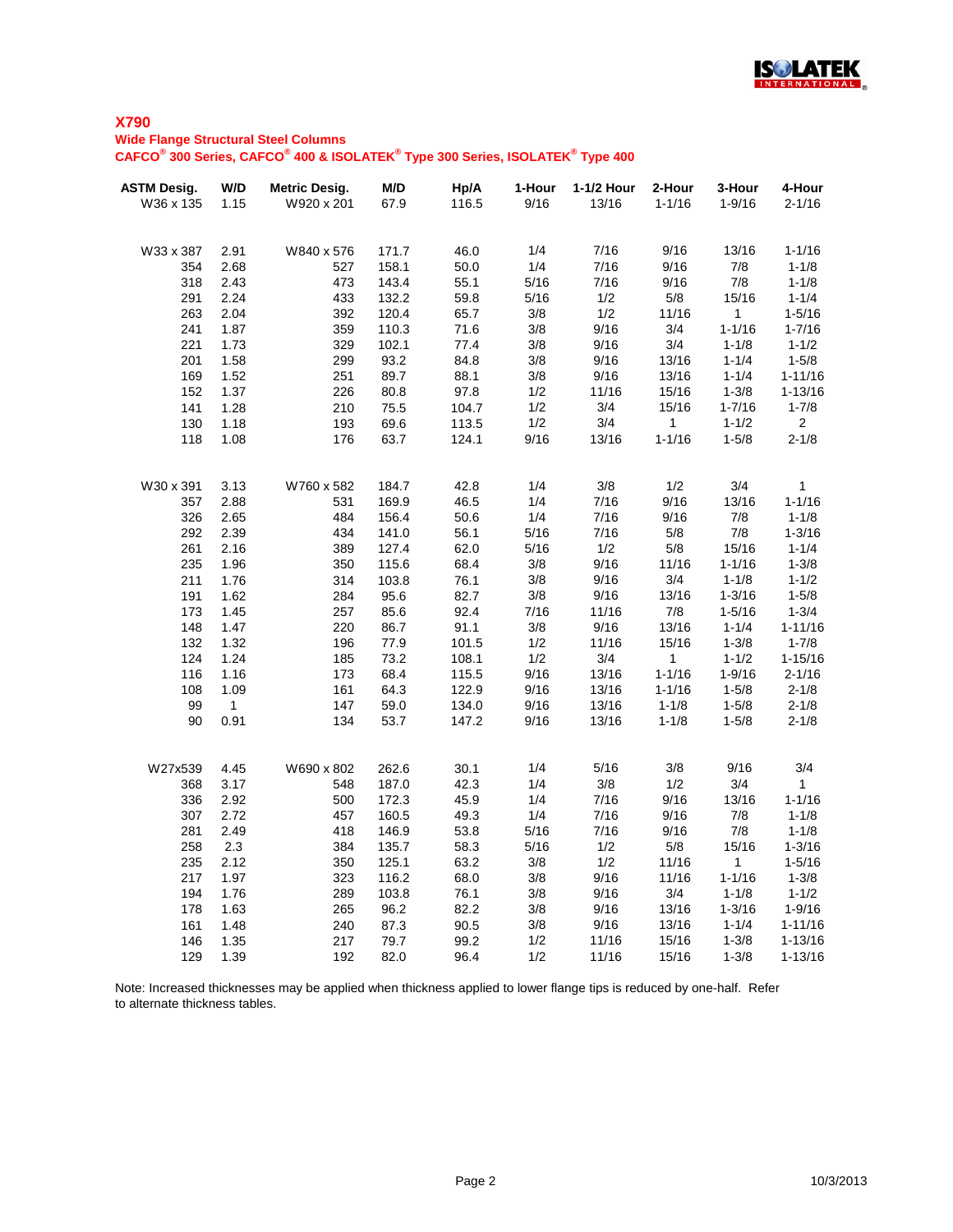

**Wide Flange Structural Steel Columns**

**CAFCO® 300 Series, CAFCO® 400 & ISOLATEK® Type 300 Series, ISOLATEK® Type 400**

| <b>ASTM Desig.</b> | W/D            | <b>Metric Desig.</b> | M/D   | Hp/A  | 1-Hour | 1-1/2 Hour | 2-Hour       | 3-Hour     | 4-Hour         |
|--------------------|----------------|----------------------|-------|-------|--------|------------|--------------|------------|----------------|
| W36 x 135          | 1.15           | W920 x 201           | 67.9  | 116.5 | 9/16   | 13/16      | $1 - 1/16$   | $1 - 9/16$ | $2 - 1/16$     |
|                    |                |                      |       |       |        |            |              |            |                |
| W33 x 387          | 2.91           | W840 x 576           | 171.7 | 46.0  | 1/4    | 7/16       | 9/16         | 13/16      | $1 - 1/16$     |
| 354                | 2.68           | 527                  | 158.1 | 50.0  | 1/4    | 7/16       | 9/16         | 7/8        | $1 - 1/8$      |
| 318                | 2.43           | 473                  | 143.4 | 55.1  | 5/16   | 7/16       | 9/16         | 7/8        | $1 - 1/8$      |
| 291                | 2.24           | 433                  | 132.2 | 59.8  | 5/16   | 1/2        | 5/8          | 15/16      | $1 - 1/4$      |
| 263                | 2.04           | 392                  | 120.4 | 65.7  | 3/8    | 1/2        | 11/16        | $1 -$      | $1 - 5/16$     |
| 241                | 1.87           | 359                  | 110.3 | 71.6  | 3/8    | 9/16       | 3/4          | $1 - 1/16$ | $1 - 7/16$     |
| 221                | 1.73           | 329                  | 102.1 | 77.4  | 3/8    | 9/16       | 3/4          | $1 - 1/8$  | $1 - 1/2$      |
| 201                | 1.58           | 299                  | 93.2  | 84.8  | 3/8    | 9/16       | 13/16        | $1 - 1/4$  | $1 - 5/8$      |
| 169                | 1.52           | 251                  | 89.7  | 88.1  | 3/8    | 9/16       | 13/16        | $1 - 1/4$  | $1 - 11/16$    |
| 152                | 1.37           | 226                  | 80.8  | 97.8  | 1/2    | 11/16      | 15/16        | $1 - 3/8$  | $1 - 13/16$    |
| 141                | 1.28           | 210                  | 75.5  | 104.7 | 1/2    | 3/4        | 15/16        | $1 - 7/16$ | $1 - 7/8$      |
| 130                | 1.18           | 193                  | 69.6  | 113.5 | 1/2    | 3/4        | $\mathbf 1$  | $1 - 1/2$  | 2 <sup>1</sup> |
| 118                | 1.08           | 176                  | 63.7  | 124.1 | 9/16   | 13/16      | $1 - 1/16$   | $1 - 5/8$  | $2 - 1/8$      |
|                    |                |                      |       |       |        |            |              |            |                |
| W30 x 391          | 3.13           | W760 x 582           | 184.7 | 42.8  | 1/4    | 3/8        | 1/2          | 3/4        | $\mathbf{1}$   |
| 357                | 2.88           | 531                  | 169.9 | 46.5  | 1/4    | 7/16       | 9/16         | 13/16      | $1 - 1/16$     |
| 326                | 2.65           | 484                  | 156.4 | 50.6  | 1/4    | 7/16       | 9/16         | 7/8        | $1 - 1/8$      |
| 292                | 2.39           | 434                  | 141.0 | 56.1  | 5/16   | 7/16       | 5/8          | 7/8        | $1 - 3/16$     |
| 261                | 2.16           | 389                  | 127.4 | 62.0  | 5/16   | 1/2        | 5/8          | 15/16      | $1 - 1/4$      |
| 235                | 1.96           | 350                  | 115.6 | 68.4  | 3/8    | 9/16       | 11/16        | $1 - 1/16$ | $1 - 3/8$      |
| 211                | 1.76           | 314                  | 103.8 | 76.1  | 3/8    | 9/16       | 3/4          | $1 - 1/8$  | $1 - 1/2$      |
| 191                | 1.62           | 284                  | 95.6  | 82.7  | 3/8    | 9/16       | 13/16        | $1 - 3/16$ | $1 - 5/8$      |
| 173                | 1.45           | 257                  | 85.6  | 92.4  | 7/16   | 11/16      | 7/8          | $1 - 5/16$ | $1 - 3/4$      |
| 148                | 1.47           | 220                  | 86.7  | 91.1  | 3/8    | 9/16       | 13/16        | $1 - 1/4$  | $1 - 11/16$    |
| 132                | 1.32           | 196                  | 77.9  | 101.5 | 1/2    | 11/16      | 15/16        | $1 - 3/8$  | $1 - 7/8$      |
| 124                | 1.24           | 185                  | 73.2  | 108.1 | 1/2    | 3/4        | $\mathbf{1}$ | $1 - 1/2$  | $1 - 15/16$    |
| 116                | 1.16           | 173                  | 68.4  | 115.5 | 9/16   | 13/16      | $1 - 1/16$   | $1 - 9/16$ | $2 - 1/16$     |
| 108                | 1.09           | 161                  | 64.3  | 122.9 | 9/16   | 13/16      | $1 - 1/16$   | $1 - 5/8$  | $2 - 1/8$      |
| 99                 | $\overline{1}$ | 147                  | 59.0  | 134.0 | 9/16   | 13/16      | $1 - 1/8$    | $1 - 5/8$  | $2 - 1/8$      |
| 90                 | 0.91           | 134                  | 53.7  | 147.2 | 9/16   | 13/16      | $1 - 1/8$    | $1 - 5/8$  | $2 - 1/8$      |
| W27x539            | 4.45           | W690 x 802           | 262.6 | 30.1  | 1/4    | 5/16       | 3/8          | 9/16       | 3/4            |
| 368                | 3.17           | 548                  | 187.0 | 42.3  | 1/4    | 3/8        | 1/2          | 3/4        | 1              |
| 336                | 2.92           | 500                  | 172.3 | 45.9  | 1/4    | 7/16       | 9/16         | 13/16      | $1 - 1/16$     |
| 307                | 2.72           | 457                  | 160.5 | 49.3  | 1/4    | 7/16       | 9/16         | 7/8        | $1 - 1/8$      |
| 281                | 2.49           | 418                  | 146.9 | 53.8  | 5/16   | 7/16       | 9/16         | 7/8        | $1 - 1/8$      |
| 258                | 2.3            | 384                  | 135.7 | 58.3  | 5/16   | 1/2        | 5/8          | 15/16      | $1 - 3/16$     |
| 235                | 2.12           | 350                  | 125.1 | 63.2  | 3/8    | 1/2        | 11/16        | 1          | $1 - 5/16$     |
| 217                | 1.97           | 323                  | 116.2 | 68.0  | 3/8    | 9/16       | 11/16        | $1 - 1/16$ | $1 - 3/8$      |
| 194                | 1.76           | 289                  | 103.8 | 76.1  | 3/8    | 9/16       | 3/4          | $1 - 1/8$  | $1 - 1/2$      |
| 178                | 1.63           | 265                  | 96.2  | 82.2  | 3/8    | 9/16       | 13/16        | $1 - 3/16$ | $1 - 9/16$     |
| 161                | 1.48           | 240                  | 87.3  | 90.5  | 3/8    | 9/16       | 13/16        | $1 - 1/4$  | $1 - 11/16$    |
| 146                | 1.35           | 217                  | 79.7  | 99.2  | 1/2    | 11/16      | 15/16        | $1 - 3/8$  | $1 - 13/16$    |
| 129                | 1.39           | 192                  | 82.0  | 96.4  | 1/2    | 11/16      | 15/16        | $1 - 3/8$  | $1 - 13/16$    |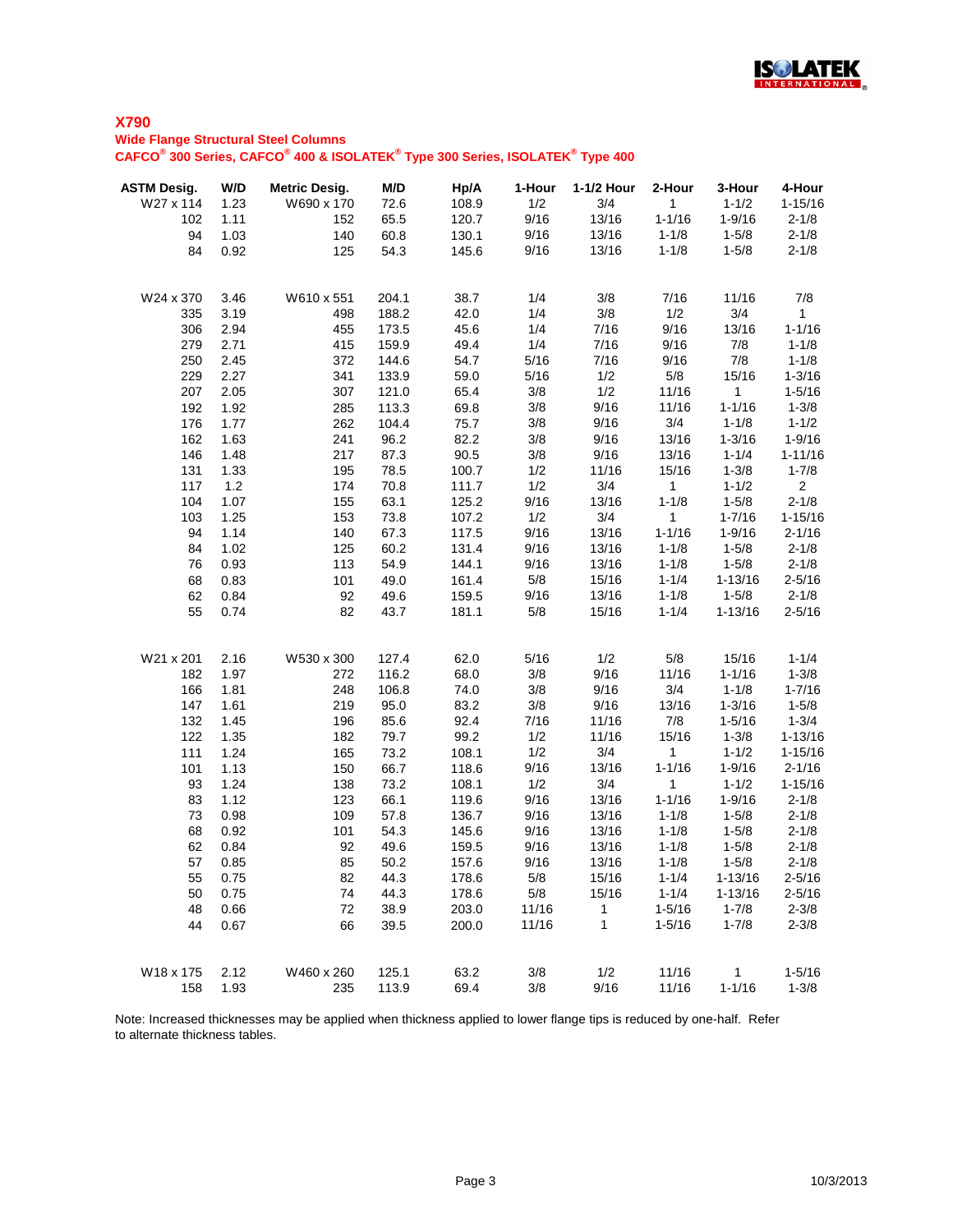

## **X790 Wide Flange Structural Steel Columns**

**CAFCO® 300 Series, CAFCO® 400 & ISOLATEK® Type 300 Series, ISOLATEK® Type 400**

| <b>ASTM Desig.</b><br>W27 x 114 | W/D<br>1.23 | <b>Metric Desig.</b><br>W690 x 170 | M/D<br>72.6 | Hp/A<br>108.9 | 1-Hour<br>1/2 | 1-1/2 Hour<br>3/4 | 2-Hour<br>$\mathbf{1}$ | 3-Hour<br>$1 - 1/2$ | 4-Hour<br>$1 - 15/16$ |
|---------------------------------|-------------|------------------------------------|-------------|---------------|---------------|-------------------|------------------------|---------------------|-----------------------|
| 102                             | 1.11        | 152                                | 65.5        | 120.7         | 9/16          | 13/16             | $1 - 1/16$             | $1 - 9/16$          | $2 - 1/8$             |
| 94                              | 1.03        | 140                                | 60.8        | 130.1         | 9/16          | 13/16             | $1 - 1/8$              | $1 - 5/8$           | $2 - 1/8$             |
| 84                              | 0.92        | 125                                | 54.3        | 145.6         | 9/16          | 13/16             | $1 - 1/8$              | $1 - 5/8$           | $2 - 1/8$             |
| W24 x 370                       | 3.46        | W610 x 551                         | 204.1       | 38.7          | 1/4           | 3/8               | 7/16                   | 11/16               | 7/8                   |
| 335                             | 3.19        | 498                                | 188.2       | 42.0          | 1/4           | 3/8               | 1/2                    | 3/4                 | $\mathbf{1}$          |
| 306                             | 2.94        | 455                                | 173.5       | 45.6          | 1/4           | 7/16              | 9/16                   | 13/16               | $1 - 1/16$            |
| 279                             | 2.71        | 415                                | 159.9       | 49.4          | 1/4           | 7/16              | 9/16                   | 7/8                 | $1 - 1/8$             |
| 250                             | 2.45        | 372                                | 144.6       | 54.7          | 5/16          | 7/16              | 9/16                   | 7/8                 | $1 - 1/8$             |
| 229                             | 2.27        | 341                                | 133.9       | 59.0          | 5/16          | 1/2               | 5/8                    | 15/16               | $1 - 3/16$            |
| 207                             | 2.05        | 307                                | 121.0       | 65.4          | 3/8           | 1/2               | 11/16                  | $\mathbf{1}$        | $1 - 5/16$            |
| 192                             | 1.92        | 285                                | 113.3       | 69.8          | 3/8           | 9/16              | 11/16                  | $1 - 1/16$          | $1 - 3/8$             |
| 176                             | 1.77        | 262                                | 104.4       | 75.7          | 3/8           | 9/16              | 3/4                    | $1 - 1/8$           | $1 - 1/2$             |
| 162                             | 1.63        | 241                                | 96.2        | 82.2          | 3/8           | 9/16              | 13/16                  | $1 - 3/16$          | $1 - 9/16$            |
| 146                             | 1.48        | 217                                | 87.3        | 90.5          | 3/8           | 9/16              | 13/16                  | $1 - 1/4$           | $1 - 11/16$           |
| 131                             | 1.33        | 195                                | 78.5        | 100.7         | 1/2           | 11/16             | 15/16                  | $1 - 3/8$           | $1 - 7/8$             |
| 117                             | 1.2         | 174                                | 70.8        | 111.7         | 1/2           | 3/4               | $\mathbf{1}$           | $1 - 1/2$           | $\overline{2}$        |
| 104                             | 1.07        | 155                                | 63.1        | 125.2         | 9/16          | 13/16             | $1 - 1/8$              | $1 - 5/8$           | $2 - 1/8$             |
| 103                             | 1.25        | 153                                | 73.8        | 107.2         | 1/2           | 3/4               | 1                      | $1 - 7/16$          | $1 - 15/16$           |
| 94                              | 1.14        | 140                                | 67.3        | 117.5         | 9/16          | 13/16             | $1 - 1/16$             | $1 - 9/16$          | $2 - 1/16$            |
| 84                              | 1.02        | 125                                | 60.2        | 131.4         | 9/16          | 13/16             | $1 - 1/8$              | $1 - 5/8$           | $2 - 1/8$             |
| 76                              | 0.93        | 113                                | 54.9        | 144.1         | 9/16          | 13/16             | $1 - 1/8$              | $1 - 5/8$           | $2 - 1/8$             |
| 68                              | 0.83        | 101                                | 49.0        | 161.4         | 5/8           | 15/16             | $1 - 1/4$              | $1 - 13/16$         | $2 - 5/16$            |
| 62                              | 0.84        | 92                                 | 49.6        | 159.5         | 9/16          | 13/16             | $1 - 1/8$              | $1 - 5/8$           | $2 - 1/8$             |
| 55                              | 0.74        | 82                                 | 43.7        | 181.1         | 5/8           | 15/16             | $1 - 1/4$              | $1 - 13/16$         | $2 - 5/16$            |
| W21 x 201                       | 2.16        | W530 x 300                         | 127.4       | 62.0          | 5/16          | 1/2               | 5/8                    | 15/16               | $1 - 1/4$             |
| 182                             | 1.97        | 272                                | 116.2       | 68.0          | 3/8           | 9/16              | 11/16                  | $1 - 1/16$          | $1 - 3/8$             |
| 166                             | 1.81        | 248                                | 106.8       | 74.0          | 3/8           | 9/16              | 3/4                    | $1 - 1/8$           | $1 - 7/16$            |
| 147                             | 1.61        | 219                                | 95.0        | 83.2          | 3/8           | 9/16              | 13/16                  | $1 - 3/16$          | $1 - 5/8$             |
| 132                             | 1.45        | 196                                | 85.6        | 92.4          | 7/16          | 11/16             | 7/8                    | $1 - 5/16$          | $1 - 3/4$             |
| 122                             | 1.35        | 182                                | 79.7        | 99.2          | 1/2           | 11/16             | 15/16                  | $1 - 3/8$           | $1 - 13/16$           |
| 111                             | 1.24        | 165                                | 73.2        | 108.1         | 1/2           | 3/4               | $\mathbf{1}$           | $1 - 1/2$           | $1 - 15/16$           |
| 101                             | 1.13        | 150                                | 66.7        | 118.6         | 9/16          | 13/16             | $1 - 1/16$             | $1 - 9/16$          | $2 - 1/16$            |
| 93                              | 1.24        | 138                                | 73.2        | 108.1         | 1/2           | 3/4               | 1                      | $1 - 1/2$           | $1 - 15/16$           |
| 83                              | 1.12        | 123                                | 66.1        | 119.6         | 9/16          | 13/16             | $1 - 1/16$             | $1 - 9/16$          | $2 - 1/8$             |
| 73                              | 0.98        | 109                                | 57.8        | 136.7         | 9/16          | 13/16             | $1 - 1/8$              | $1 - 5/8$           | $2 - 1/8$             |
| 68                              | 0.92        | 101                                | 54.3        | 145.6         | 9/16          | 13/16             | $1 - 1/8$              | $1 - 5/8$           | $2 - 1/8$             |
| 62                              | 0.84        | 92                                 | 49.6        | 159.5         | 9/16          | 13/16             | $1 - 1/8$              | $1 - 5/8$           | $2 - 1/8$             |
| 57                              | 0.85        | 85                                 | 50.2        | 157.6         | 9/16          | 13/16             | $1 - 1/8$              | $1 - 5/8$           | $2 - 1/8$             |
| 55                              | 0.75        | 82                                 | 44.3        | 178.6         | 5/8           | 15/16             | $1 - 1/4$              | $1 - 13/16$         | $2 - 5/16$            |
| 50                              | 0.75        | 74                                 | 44.3        | 178.6         | 5/8           | 15/16             | $1 - 1/4$              | $1 - 13/16$         | $2 - 5/16$            |
| 48                              | 0.66        | 72                                 | 38.9        | 203.0         | 11/16         | $\overline{1}$    | $1 - 5/16$             | $1 - 7/8$           | $2 - 3/8$             |
| 44                              | 0.67        | 66                                 | 39.5        | 200.0         | 11/16         | $\mathbf{1}$      | $1 - 5/16$             | $1 - 7/8$           | $2 - 3/8$             |
| W18 x 175                       | 2.12        | W460 x 260                         | 125.1       | 63.2          | 3/8           | 1/2               | 11/16                  | $\overline{1}$      | $1 - 5/16$            |
| 158                             | 1.93        | 235                                | 113.9       | 69.4          | 3/8           | 9/16              | 11/16                  | $1 - 1/16$          | $1 - 3/8$             |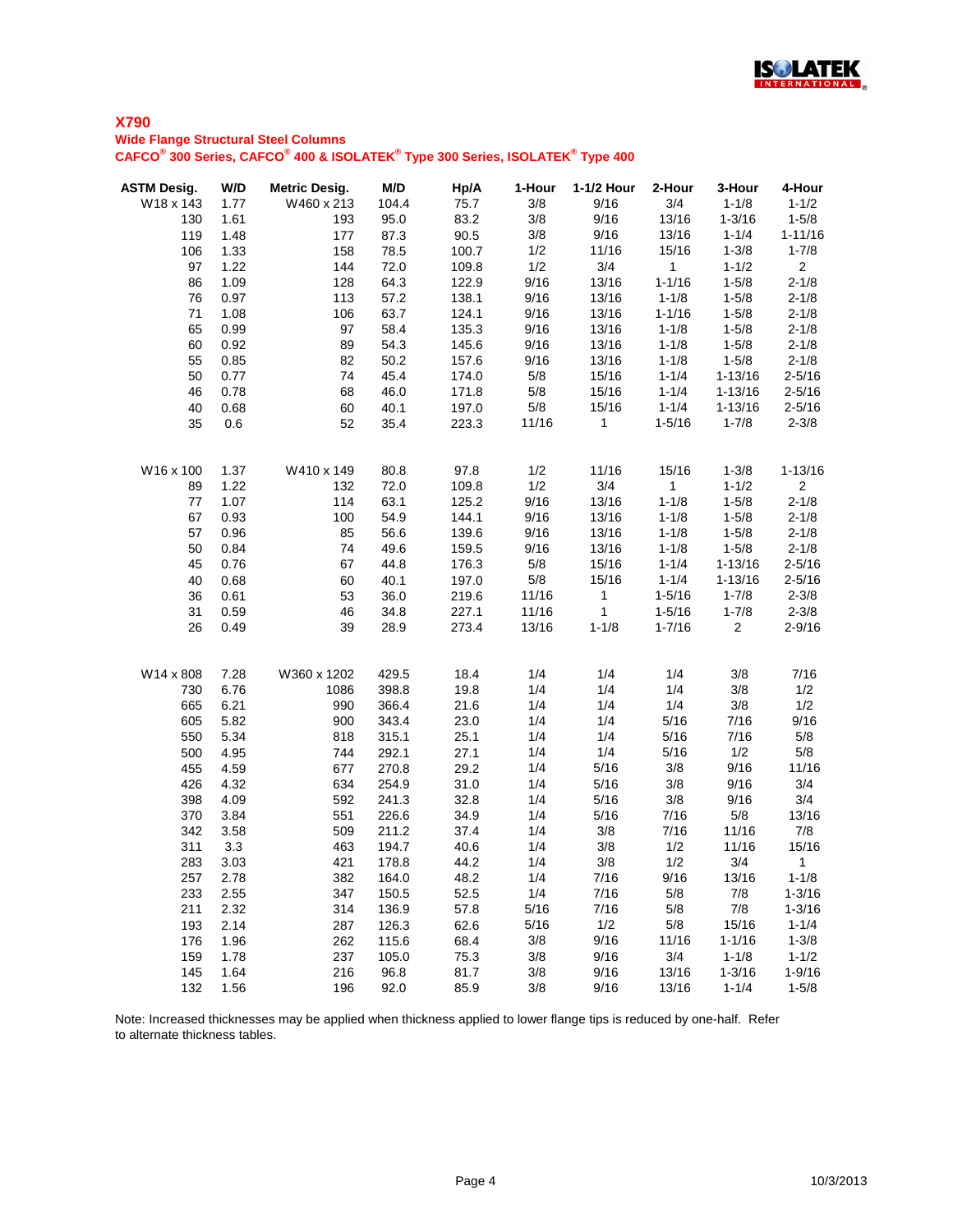

#### **Wide Flange Structural Steel Columns**

**CAFCO® 300 Series, CAFCO® 400 & ISOLATEK® Type 300 Series, ISOLATEK® Type 400**

| <b>ASTM Desig.</b><br>W18 x 143 | W/D<br>1.77  | <b>Metric Desig.</b><br>W460 x 213 | M/D<br>104.4   | Hp/A<br>75.7 | 1-Hour<br>3/8 | 1-1/2 Hour<br>9/16 | 2-Hour<br>3/4 | 3-Hour<br>$1 - 1/8$ | 4-Hour<br>$1 - 1/2$    |
|---------------------------------|--------------|------------------------------------|----------------|--------------|---------------|--------------------|---------------|---------------------|------------------------|
| 130                             | 1.61         | 193                                | 95.0           | 83.2         | 3/8           | 9/16               | 13/16         | $1 - 3/16$          | $1 - 5/8$              |
| 119                             | 1.48         | 177                                | 87.3           | 90.5         | 3/8           | 9/16               | 13/16         | $1 - 1/4$           | $1 - 11/16$            |
| 106                             | 1.33         | 158                                | 78.5           | 100.7        | 1/2           | 11/16              | 15/16         | $1 - 3/8$           | $1 - 7/8$              |
| 97                              | 1.22         | 144                                | 72.0           | 109.8        | 1/2           | 3/4                | 1             | $1 - 1/2$           | $\overline{2}$         |
| 86                              | 1.09         | 128                                | 64.3           | 122.9        | 9/16          | 13/16              | $1 - 1/16$    | $1 - 5/8$           | $2 - 1/8$              |
| 76                              | 0.97         | 113                                | 57.2           | 138.1        | 9/16          | 13/16              | $1 - 1/8$     | $1 - 5/8$           | $2 - 1/8$              |
| 71                              | 1.08         | 106                                | 63.7           | 124.1        | 9/16          | 13/16              | $1 - 1/16$    | $1 - 5/8$           | $2 - 1/8$              |
| 65                              | 0.99         | 97                                 | 58.4           | 135.3        | 9/16          | 13/16              | $1 - 1/8$     | $1 - 5/8$           | $2 - 1/8$              |
| 60                              | 0.92         | 89                                 | 54.3           | 145.6        | 9/16          | 13/16              | $1 - 1/8$     | $1 - 5/8$           | $2 - 1/8$              |
| 55                              | 0.85         | 82                                 | 50.2           | 157.6        | 9/16          | 13/16              | $1 - 1/8$     | $1 - 5/8$           | $2 - 1/8$              |
| 50                              | 0.77         | 74                                 | 45.4           | 174.0        | 5/8           | 15/16              | $1 - 1/4$     | $1 - 13/16$         | $2 - 5/16$             |
| 46                              | 0.78         | 68                                 | 46.0           | 171.8        | 5/8           | 15/16              | $1 - 1/4$     | $1 - 13/16$         | $2 - 5/16$             |
| 40                              | 0.68         | 60                                 | 40.1           | 197.0        | 5/8           | 15/16              | $1 - 1/4$     | $1 - 13/16$         | $2 - 5/16$             |
| 35                              | 0.6          | 52                                 | 35.4           | 223.3        | 11/16         | $\mathbf 1$        | $1 - 5/16$    | $1 - 7/8$           | $2 - 3/8$              |
| W16 x 100                       | 1.37         | W410 x 149                         | 80.8           | 97.8         | 1/2           | 11/16              | 15/16         | $1 - 3/8$           | $1 - 13/16$            |
| 89                              | 1.22         | 132                                | 72.0           | 109.8        | 1/2           | 3/4                | 1             | $1 - 1/2$           | $\overline{2}$         |
| 77                              | 1.07         | 114                                | 63.1           | 125.2        | 9/16          | 13/16              | $1 - 1/8$     | $1 - 5/8$           | $2 - 1/8$              |
| 67                              | 0.93         | 100                                | 54.9           | 144.1        | 9/16          | 13/16              | $1 - 1/8$     | $1 - 5/8$           | $2 - 1/8$              |
| 57                              | 0.96         | 85                                 | 56.6           | 139.6        | 9/16          | 13/16              | $1 - 1/8$     | $1 - 5/8$           | $2 - 1/8$              |
| 50                              | 0.84         | 74                                 | 49.6           | 159.5        | 9/16          | 13/16              | $1 - 1/8$     | $1 - 5/8$           | $2 - 1/8$              |
| 45                              | 0.76         | 67                                 | 44.8           | 176.3        | 5/8           | 15/16              | $1 - 1/4$     | $1 - 13/16$         | $2 - 5/16$             |
| 40                              | 0.68         | 60                                 | 40.1           | 197.0        | 5/8           | 15/16              | $1 - 1/4$     | $1 - 13/16$         | $2 - 5/16$             |
| 36                              | 0.61         | 53                                 | 36.0           | 219.6        | 11/16         | $\mathbf{1}$       | $1 - 5/16$    | $1 - 7/8$           | $2 - 3/8$              |
| 31                              | 0.59         | 46                                 | 34.8           | 227.1        | 11/16         | $\mathbf{1}$       | $1 - 5/16$    | $1 - 7/8$           | $2 - 3/8$              |
| 26                              | 0.49         | 39                                 | 28.9           | 273.4        | 13/16         | $1 - 1/8$          | $1 - 7/16$    | $\overline{2}$      | $2 - 9/16$             |
| W14 x 808                       | 7.28         | W360 x 1202                        | 429.5          | 18.4         | 1/4           | 1/4                | 1/4           | 3/8                 | 7/16                   |
| 730                             | 6.76         | 1086                               | 398.8          | 19.8         | 1/4           | 1/4                | 1/4           | 3/8                 | 1/2                    |
| 665                             | 6.21         | 990                                | 366.4          | 21.6         | 1/4           | 1/4                | 1/4           | 3/8                 | 1/2                    |
| 605                             | 5.82         | 900                                | 343.4          | 23.0         | 1/4           | 1/4                | 5/16          | 7/16                | 9/16                   |
| 550                             | 5.34         | 818                                | 315.1          | 25.1         | 1/4           | 1/4                | 5/16          | 7/16                | 5/8                    |
| 500                             | 4.95         | 744                                | 292.1          | 27.1         | 1/4           | 1/4                | 5/16          | 1/2                 | 5/8                    |
| 455                             | 4.59         | 677                                | 270.8          | 29.2         | 1/4           | 5/16               | 3/8           | 9/16                | 11/16                  |
| 426                             | 4.32         | 634                                | 254.9          | 31.0         | 1/4           | 5/16               | 3/8           | 9/16                | 3/4                    |
| 398                             | 4.09         | 592                                | 241.3          | 32.8         | 1/4           | 5/16               | 3/8           | 9/16                | 3/4                    |
| 370                             | 3.84         | 551                                | 226.6          | 34.9         | 1/4           | 5/16               | 7/16          | 5/8                 | 13/16                  |
| 342                             | 3.58         | 509                                | 211.2          | 37.4         | 1/4           | 3/8                | 7/16          | 11/16               | 7/8                    |
| 311                             | 3.3          | 463                                | 194.7          | 40.6         | 1/4           | 3/8                | 1/2           | 11/16               | 15/16                  |
| 283                             | 3.03         | 421                                | 178.8          | 44.2         | 1/4           | $3/8$              | 1/2           | 3/4                 | $\overline{1}$         |
| 257                             | 2.78         | 382                                | 164.0          | 48.2         | 1/4           | 7/16               | 9/16          | 13/16               | $1 - 1/8$              |
| 233                             | 2.55         | 347                                | 150.5          | 52.5         | 1/4           | 7/16               | 5/8           | 7/8                 | $1 - 3/16$             |
| 211                             | 2.32<br>2.14 | 314                                | 136.9          | 57.8         | 5/16          | 7/16               | 5/8           | 7/8                 | $1 - 3/16$             |
| 193<br>176                      | 1.96         | 287<br>262                         | 126.3<br>115.6 | 62.6<br>68.4 | 5/16<br>3/8   | 1/2<br>9/16        | 5/8<br>11/16  | 15/16<br>$1 - 1/16$ | $1 - 1/4$<br>$1 - 3/8$ |
| 159                             | 1.78         | 237                                | 105.0          | 75.3         | 3/8           | 9/16               | 3/4           | $1 - 1/8$           | $1 - 1/2$              |
| 145                             | 1.64         | 216                                | 96.8           | 81.7         | 3/8           | 9/16               | 13/16         | $1 - 3/16$          | $1 - 9/16$             |
| 132                             | 1.56         | 196                                | 92.0           | 85.9         | 3/8           | 9/16               | 13/16         | $1 - 1/4$           | $1 - 5/8$              |
|                                 |              |                                    |                |              |               |                    |               |                     |                        |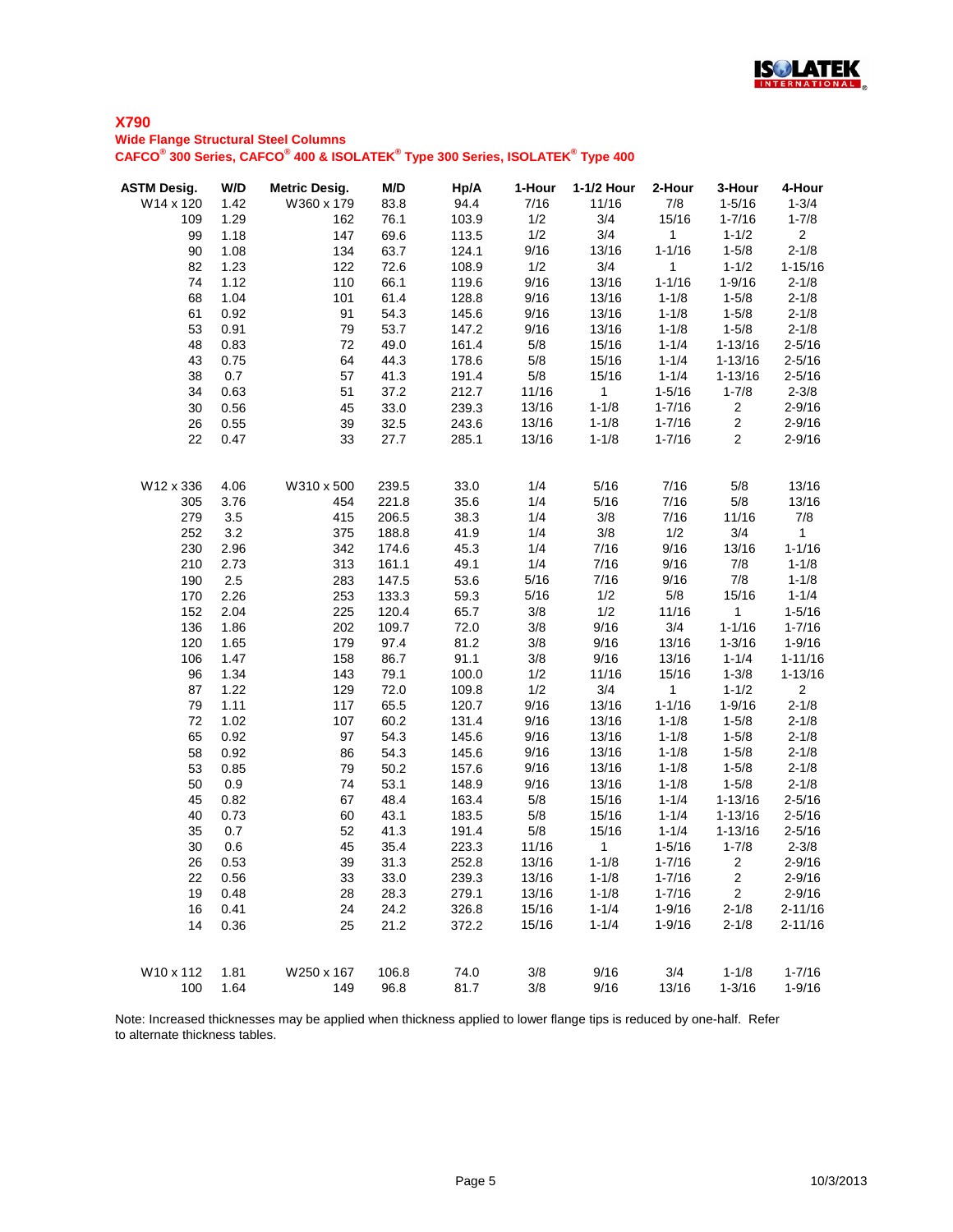

#### **Wide Flange Structural Steel Columns**

**CAFCO® 300 Series, CAFCO® 400 & ISOLATEK® Type 300 Series, ISOLATEK® Type 400**

| <b>ASTM Desig.</b> | W/D  | <b>Metric Desig.</b> | M/D   | Hp/A  | 1-Hour | 1-1/2 Hour     | 2-Hour       | 3-Hour         | 4-Hour         |
|--------------------|------|----------------------|-------|-------|--------|----------------|--------------|----------------|----------------|
| W14 x 120          | 1.42 | W360 x 179           | 83.8  | 94.4  | 7/16   | 11/16          | 7/8          | $1 - 5/16$     | $1 - 3/4$      |
| 109                | 1.29 | 162                  | 76.1  | 103.9 | 1/2    | 3/4            | 15/16        | $1 - 7/16$     | $1 - 7/8$      |
| 99                 | 1.18 | 147                  | 69.6  | 113.5 | 1/2    | 3/4            | $\mathbf{1}$ | $1 - 1/2$      | 2 <sup>1</sup> |
| 90                 | 1.08 | 134                  | 63.7  | 124.1 | 9/16   | 13/16          | $1 - 1/16$   | $1 - 5/8$      | $2 - 1/8$      |
| 82                 | 1.23 | 122                  | 72.6  | 108.9 | 1/2    | 3/4            | 1            | $1 - 1/2$      | $1 - 15/16$    |
| 74                 | 1.12 | 110                  | 66.1  | 119.6 | 9/16   | 13/16          | $1 - 1/16$   | $1 - 9/16$     | $2 - 1/8$      |
| 68                 | 1.04 | 101                  | 61.4  | 128.8 | 9/16   | 13/16          | $1 - 1/8$    | $1 - 5/8$      | $2 - 1/8$      |
| 61                 | 0.92 | 91                   | 54.3  | 145.6 | 9/16   | 13/16          | $1 - 1/8$    | $1 - 5/8$      | $2 - 1/8$      |
| 53                 | 0.91 | 79                   | 53.7  | 147.2 | 9/16   | 13/16          | $1 - 1/8$    | $1 - 5/8$      | $2 - 1/8$      |
| 48                 | 0.83 | 72                   | 49.0  | 161.4 | 5/8    | 15/16          | $1 - 1/4$    | $1 - 13/16$    | $2 - 5/16$     |
| 43                 | 0.75 | 64                   | 44.3  | 178.6 | 5/8    | 15/16          | $1 - 1/4$    | $1 - 13/16$    | $2 - 5/16$     |
| 38                 | 0.7  | 57                   | 41.3  | 191.4 | 5/8    | 15/16          | $1 - 1/4$    | $1 - 13/16$    | $2 - 5/16$     |
| 34                 | 0.63 | 51                   | 37.2  | 212.7 | 11/16  | $\mathbf 1$    | $1 - 5/16$   | $1 - 7/8$      | $2 - 3/8$      |
| 30                 | 0.56 | 45                   | 33.0  | 239.3 | 13/16  | $1 - 1/8$      | $1 - 7/16$   | $\overline{c}$ | $2 - 9/16$     |
| 26                 | 0.55 | 39                   | 32.5  | 243.6 | 13/16  | $1 - 1/8$      | $1 - 7/16$   | $\overline{c}$ | $2 - 9/16$     |
| 22                 | 0.47 | 33                   | 27.7  | 285.1 | 13/16  | $1 - 1/8$      | $1 - 7/16$   | $\overline{2}$ | $2 - 9/16$     |
| W12 x 336          | 4.06 | W310 x 500           | 239.5 | 33.0  | 1/4    | 5/16           | 7/16         | 5/8            | 13/16          |
| 305                | 3.76 | 454                  | 221.8 | 35.6  | 1/4    | 5/16           | 7/16         | 5/8            | 13/16          |
| 279                | 3.5  | 415                  | 206.5 | 38.3  | 1/4    | 3/8            | 7/16         | 11/16          | 7/8            |
| 252                | 3.2  | 375                  | 188.8 | 41.9  | 1/4    | 3/8            | 1/2          | 3/4            | $\mathbf{1}$   |
| 230                | 2.96 | 342                  | 174.6 | 45.3  | 1/4    | 7/16           | 9/16         | 13/16          | $1 - 1/16$     |
| 210                | 2.73 | 313                  | 161.1 | 49.1  | 1/4    | 7/16           | 9/16         | 7/8            | $1 - 1/8$      |
| 190                | 2.5  | 283                  | 147.5 | 53.6  | 5/16   | 7/16           | 9/16         | 7/8            | $1 - 1/8$      |
| 170                | 2.26 | 253                  | 133.3 | 59.3  | 5/16   | 1/2            | 5/8          | 15/16          | $1 - 1/4$      |
| 152                | 2.04 | 225                  | 120.4 | 65.7  | 3/8    | 1/2            | 11/16        | $\mathbf{1}$   | $1 - 5/16$     |
| 136                | 1.86 | 202                  | 109.7 | 72.0  | 3/8    | 9/16           | 3/4          | $1 - 1/16$     | $1 - 7/16$     |
| 120                | 1.65 | 179                  | 97.4  | 81.2  | 3/8    | 9/16           | 13/16        | $1 - 3/16$     | $1 - 9/16$     |
| 106                | 1.47 | 158                  | 86.7  | 91.1  | 3/8    | 9/16           | 13/16        | $1 - 1/4$      | $1 - 11/16$    |
| 96                 | 1.34 | 143                  | 79.1  | 100.0 | 1/2    | 11/16          | 15/16        | $1 - 3/8$      | $1 - 13/16$    |
| 87                 | 1.22 | 129                  | 72.0  | 109.8 | 1/2    | 3/4            | $\mathbf{1}$ | $1 - 1/2$      | $\overline{2}$ |
| 79                 | 1.11 | 117                  | 65.5  | 120.7 | 9/16   | 13/16          | $1 - 1/16$   | $1 - 9/16$     | $2 - 1/8$      |
| 72                 | 1.02 | 107                  | 60.2  | 131.4 | 9/16   | 13/16          | $1 - 1/8$    | $1 - 5/8$      | $2 - 1/8$      |
| 65                 | 0.92 | 97                   | 54.3  | 145.6 | 9/16   | 13/16          | $1 - 1/8$    | $1 - 5/8$      | $2 - 1/8$      |
| 58                 | 0.92 | 86                   | 54.3  | 145.6 | 9/16   | 13/16          | $1 - 1/8$    | $1 - 5/8$      | $2 - 1/8$      |
| 53                 | 0.85 | 79                   | 50.2  | 157.6 | 9/16   | 13/16          | $1 - 1/8$    | $1 - 5/8$      | $2 - 1/8$      |
| 50                 | 0.9  | 74                   | 53.1  | 148.9 | 9/16   | 13/16          | $1 - 1/8$    | $1 - 5/8$      | $2 - 1/8$      |
| 45                 | 0.82 | 67                   | 48.4  | 163.4 | 5/8    | 15/16          | $1 - 1/4$    | $1 - 13/16$    | $2 - 5/16$     |
| 40                 | 0.73 | 60                   | 43.1  | 183.5 | 5/8    | 15/16          | $1 - 1/4$    | $1 - 13/16$    | $2 - 5/16$     |
| 35                 | 0.7  | 52                   | 41.3  | 191.4 | 5/8    | 15/16          | $1 - 1/4$    | $1 - 13/16$    | $2 - 5/16$     |
| 30                 | 0.6  | 45                   | 35.4  | 223.3 | 11/16  | $\overline{1}$ | $1 - 5/16$   | $1 - 7/8$      | $2 - 3/8$      |
| 26                 | 0.53 | 39                   | 31.3  | 252.8 | 13/16  | $1 - 1/8$      | $1 - 7/16$   | $\overline{2}$ | $2 - 9/16$     |
| 22                 | 0.56 | 33                   | 33.0  | 239.3 | 13/16  | $1 - 1/8$      | $1 - 7/16$   | $\overline{2}$ | $2 - 9/16$     |
| 19                 | 0.48 | 28                   | 28.3  | 279.1 | 13/16  | $1 - 1/8$      | $1 - 7/16$   | 2              | $2 - 9/16$     |
| 16                 | 0.41 | 24                   | 24.2  | 326.8 | 15/16  | $1 - 1/4$      | $1 - 9/16$   | $2 - 1/8$      | $2 - 11/16$    |
| 14                 | 0.36 | 25                   | 21.2  | 372.2 | 15/16  | $1 - 1/4$      | $1 - 9/16$   | $2 - 1/8$      | $2 - 11/16$    |
| W10 x 112          | 1.81 | W250 x 167           | 106.8 | 74.0  | 3/8    | 9/16           | 3/4          | $1 - 1/8$      | $1 - 7/16$     |
| 100                | 1.64 | 149                  | 96.8  | 81.7  | 3/8    | 9/16           | 13/16        | $1 - 3/16$     | $1 - 9/16$     |
|                    |      |                      |       |       |        |                |              |                |                |